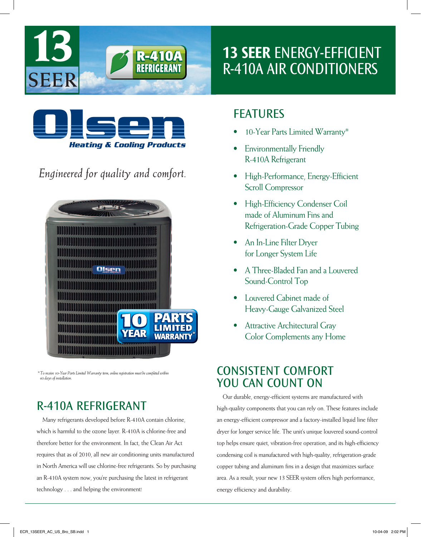

## 13 SEER ENERGY-EFFICIENT R-410A AIR CONDITIONERS



*Engineered for quality and comfort.*



*\* To receive 10-Year Parts Limited Warranty term, online registration must be completed within 60 days of installation.*

## R-410A REFRIGERANT

Many refrigerants developed before R-410A contain chlorine, which is harmful to the ozone layer. R-410A is chlorine-free and therefore better for the environment. In fact, the Clean Air Act requires that as of 2010, all new air conditioning units manufactured in North America will use chlorine-free refrigerants. So by purchasing an R-410A system now, you're purchasing the latest in refrigerant technology . . . and helping the environment!

#### **FEATURES**

- 10-Year Parts Limited Warranty\*
- **Environmentally Friendly** R-410A Refrigerant
- **High-Performance, Energy-Efficient** Scroll Compressor
- High-Efficiency Condenser Coil made of Aluminum Fins and Refrigeration-Grade Copper Tubing
- An In-Line Filter Dryer for Longer System Life
- • A Three-Bladed Fan and a Louvered Sound-Control Top
- • Louvered Cabinet made of Heavy-Gauge Galvanized Steel
- **Attractive Architectural Gray** Color Complements any Home

## CONSISTENT COmFORT YOU CAN COUNT ON

Our durable, energy-efficient systems are manufactured with high-quality components that you can rely on. These features include an energy-efficient compressor and a factory-installed liquid line filter dryer for longer service life. The unit's unique louvered sound-control top helps ensure quiet, vibration-free operation, and its high-efficiency condensing coil is manufactured with high-quality, refrigeration-grade copper tubing and aluminum fins in a design that maximizes surface area. As a result, your new 13 SEER system offers high performance, energy efficiency and durability.